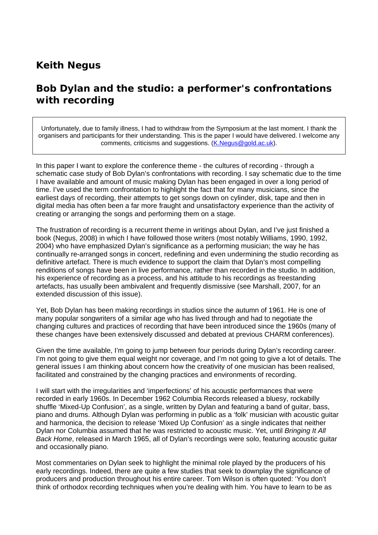## **Keith Negus**

## *Bob Dylan and the studio: a performer's confrontations with recording*

Unfortunately, due to family illness, I had to withdraw from the Symposium at the last moment. I thank the organisers and participants for their understanding. This is the paper I would have delivered. I welcome any comments, criticisms and suggestions. (K.Negus@gold.ac.uk).

In this paper I want to explore the conference theme - the cultures of recording - through a schematic case study of Bob Dylan's confrontations with recording. I say schematic due to the time I have available and amount of music making Dylan has been engaged in over a long period of time. I've used the term confrontation to highlight the fact that for many musicians, since the earliest days of recording, their attempts to get songs down on cylinder, disk, tape and then in digital media has often been a far more fraught and unsatisfactory experience than the activity of creating or arranging the songs and performing them on a stage.

The frustration of recording is a recurrent theme in writings about Dylan, and I've just finished a book (Negus, 2008) in which I have followed those writers (most notably Williams, 1990, 1992, 2004) who have emphasized Dylan's significance as a performing musician; the way he has continually re-arranged songs in concert, redefining and even undermining the studio recording as definitive artefact. There is much evidence to support the claim that Dylan's most compelling renditions of songs have been in live performance, rather than recorded in the studio. In addition, his experience of recording as a process, and his attitude to his recordings as freestanding artefacts, has usually been ambivalent and frequently dismissive (see Marshall, 2007, for an extended discussion of this issue).

Yet, Bob Dylan has been making recordings in studios since the autumn of 1961. He is one of many popular songwriters of a similar age who has lived through and had to negotiate the changing cultures and practices of recording that have been introduced since the 1960s (many of these changes have been extensively discussed and debated at previous CHARM conferences).

Given the time available, I'm going to jump between four periods during Dylan's recording career. I'm not going to give them equal weight nor coverage, and I'm not going to give a lot of details. The general issues I am thinking about concern how the creativity of one musician has been realised, facilitated and constrained by the changing practices and environments of recording.

I will start with the irregularities and 'imperfections' of his acoustic performances that were recorded in early 1960s. In December 1962 Columbia Records released a bluesy, rockabilly shuffle 'Mixed-Up Confusion', as a single, written by Dylan and featuring a band of guitar, bass, piano and drums. Although Dylan was performing in public as a 'folk' musician with acoustic guitar and harmonica, the decision to release 'Mixed Up Confusion' as a single indicates that neither Dylan nor Columbia assumed that he was restricted to acoustic music. Yet, until *Bringing It All Back Home*, released in March 1965, all of Dylan's recordings were solo, featuring acoustic guitar and occasionally piano.

Most commentaries on Dylan seek to highlight the minimal role played by the producers of his early recordings. Indeed, there are quite a few studies that seek to downplay the significance of producers and production throughout his entire career. Tom Wilson is often quoted: 'You don't think of orthodox recording techniques when you're dealing with him. You have to learn to be as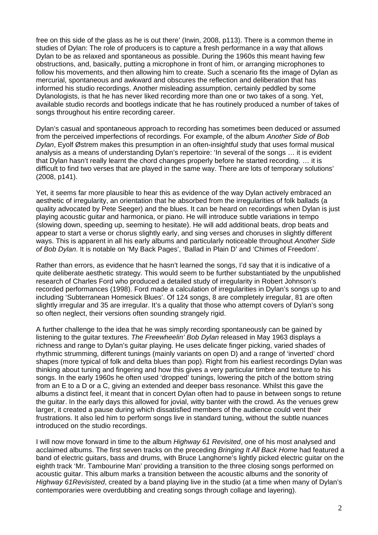free on this side of the glass as he is out there' (Irwin, 2008, p113). There is a common theme in studies of Dylan: The role of producers is to capture a fresh performance in a way that allows Dylan to be as relaxed and spontaneous as possible. During the 1960s this meant having few obstructions, and, basically, putting a microphone in front of him, or arranging microphones to follow his movements, and then allowing him to create. Such a scenario fits the image of Dylan as mercurial, spontaneous and awkward and obscures the reflection and deliberation that has informed his studio recordings. Another misleading assumption, certainly peddled by some Dylanologists, is that he has never liked recording more than one or two takes of a song. Yet, available studio records and bootlegs indicate that he has routinely produced a number of takes of songs throughout his entire recording career.

Dylan's casual and spontaneous approach to recording has sometimes been deduced or assumed from the perceived imperfections of recordings. For example, of the album *Another Side of Bob Dylan*, Eyolf Østrem makes this presumption in an often-insightful study that uses formal musical analysis as a means of understanding Dylan's repertoire: 'In several of the songs … it is evident that Dylan hasn't really learnt the chord changes properly before he started recording. … it is difficult to find two verses that are played in the same way. There are lots of temporary solutions' (2008, p141).

Yet, it seems far more plausible to hear this as evidence of the way Dylan actively embraced an aesthetic of irregularity, an orientation that he absorbed from the irregularities of folk ballads (a quality advocated by Pete Seeger) and the blues. It can be heard on recordings when Dylan is just playing acoustic guitar and harmonica, or piano. He will introduce subtle variations in tempo (slowing down, speeding up, seeming to hesitate). He will add additional beats, drop beats and appear to start a verse or chorus slightly early, and sing verses and choruses in slightly different ways. This is apparent in all his early albums and particularly noticeable throughout *Another Side of Bob Dylan*. It is notable on 'My Back Pages', 'Ballad in Plain D' and 'Chimes of Freedom'.

Rather than errors, as evidence that he hasn't learned the songs, I'd say that it is indicative of a quite deliberate aesthetic strategy. This would seem to be further substantiated by the unpublished research of Charles Ford who produced a detailed study of irregularity in Robert Johnson's recorded performances (1998). Ford made a calculation of irregularities in Dylan's songs up to and including 'Subterranean Homesick Blues'. Of 124 songs, 8 are completely irregular, 81 are often slightly irregular and 35 are irregular. It's a quality that those who attempt covers of Dylan's song so often neglect, their versions often sounding strangely rigid.

A further challenge to the idea that he was simply recording spontaneously can be gained by listening to the guitar textures. *The Freewheelin' Bob Dylan* released in May 1963 displays a richness and range to Dylan's guitar playing. He uses delicate finger picking, varied shades of rhythmic strumming, different tunings (mainly variants on open D) and a range of 'inverted' chord shapes (more typical of folk and delta blues than pop). Right from his earliest recordings Dylan was thinking about tuning and fingering and how this gives a very particular timbre and texture to his songs. In the early 1960s he often used 'dropped' tunings, lowering the pitch of the bottom string from an E to a D or a C, giving an extended and deeper bass resonance. Whilst this gave the albums a distinct feel, it meant that in concert Dylan often had to pause in between songs to retune the guitar. In the early days this allowed for jovial, witty banter with the crowd. As the venues grew larger, it created a pause during which dissatisfied members of the audience could vent their frustrations. It also led him to perform songs live in standard tuning, without the subtle nuances introduced on the studio recordings.

I will now move forward in time to the album *Highway 61 Revisited*, one of his most analysed and acclaimed albums. The first seven tracks on the preceding *Bringing It All Back Home* had featured a band of electric guitars, bass and drums, with Bruce Langhorne's lightly picked electric guitar on the eighth track 'Mr. Tambourine Man' providing a transition to the three closing songs performed on acoustic guitar. This album marks a transition between the acoustic albums and the sonority of *Highway 61Revisisted*, created by a band playing live in the studio (at a time when many of Dylan's contemporaries were overdubbing and creating songs through collage and layering).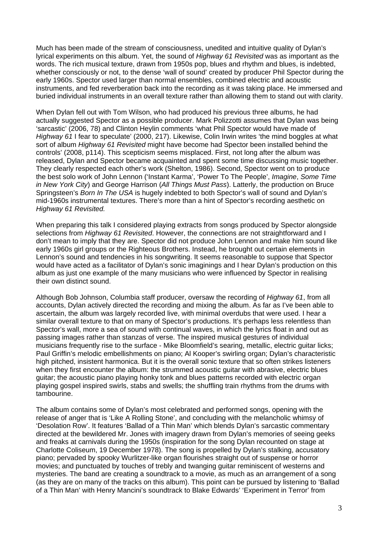Much has been made of the stream of consciousness, unedited and intuitive quality of Dylan's lyrical experiments on this album. Yet, the sound of *Highway 61 Revisited* was as important as the words. The rich musical texture, drawn from 1950s pop, blues and rhythm and blues, is indebted, whether consciously or not, to the dense 'wall of sound' created by producer Phil Spector during the early 1960s. Spector used larger than normal ensembles, combined electric and acoustic instruments, and fed reverberation back into the recording as it was taking place. He immersed and buried individual instruments in an overall texture rather than allowing them to stand out with clarity.

When Dylan fell out with Tom Wilson, who had produced his previous three albums, he had actually suggested Spector as a possible producer. Mark Polizzotti assumes that Dylan was being 'sarcastic' (2006, 78) and Clinton Heylin comments 'what Phil Spector would have made of *Highway 61* I fear to speculate' (2000, 217). Likewise, Colin Irwin writes 'the mind boggles at what sort of album *Highway 61 Revisited* might have become had Spector been installed behind the controls' (2008, p114). This scepticism seems misplaced. First, not long after the album was released, Dylan and Spector became acquainted and spent some time discussing music together. They clearly respected each other's work (Shelton, 1986). Second, Spector went on to produce the best solo work of John Lennon ('Instant Karma', 'Power To The People', *Imagine*, *Some Time in New York City*) and George Harrison (*All Things Must Pass*). Latterly, the production on Bruce Springsteen's *Born In The USA* is hugely indebted to both Spector's wall of sound and Dylan's mid-1960s instrumental textures. There's more than a hint of Spector's recording aesthetic on *Highway 61 Revisited.* 

When preparing this talk I considered playing extracts from songs produced by Spector alongside selections from *Highway 61 Revisited*. However, the connections are not straightforward and I don't mean to imply that they are. Spector did not produce John Lennon and make him sound like early 1960s girl groups or the Righteous Brothers. Instead, he brought out certain elements in Lennon's sound and tendencies in his songwriting. It seems reasonable to suppose that Spector would have acted as a facilitator of Dylan's sonic imaginings and I hear Dylan's production on this album as just one example of the many musicians who were influenced by Spector in realising their own distinct sound.

Although Bob Johnson, Columbia staff producer, oversaw the recording of *Highway 61*, from all accounts, Dylan actively directed the recording and mixing the album. As far as I've been able to ascertain, the album was largely recorded live, with minimal overdubs that were used. I hear a similar overall texture to that on many of Spector's productions. It's perhaps less relentless than Spector's wall, more a sea of sound with continual waves, in which the lyrics float in and out as passing images rather than stanzas of verse. The inspired musical gestures of individual musicians frequently rise to the surface - Mike Bloomfield's searing, metallic, electric guitar licks; Paul Griffin's melodic embellishments on piano; Al Kooper's swirling organ; Dylan's characteristic high pitched, insistent harmonica. But it is the overall sonic texture that so often strikes listeners when they first encounter the album: the strummed acoustic guitar with abrasive, electric blues guitar; the acoustic piano playing honky tonk and blues patterns recorded with electric organ playing gospel inspired swirls, stabs and swells; the shuffling train rhythms from the drums with tambourine.

The album contains some of Dylan's most celebrated and performed songs, opening with the release of anger that is 'Like A Rolling Stone', and concluding with the melancholic whimsy of 'Desolation Row'. It features 'Ballad of a Thin Man' which blends Dylan's sarcastic commentary directed at the bewildered Mr. Jones with imagery drawn from Dylan's memories of seeing geeks and freaks at carnivals during the 1950s (inspiration for the song Dylan recounted on stage at Charlotte Coliseum, 19 December 1978). The song is propelled by Dylan's stalking, accusatory piano; pervaded by spooky Wurlitzer-like organ flourishes straight out of suspense or horror movies; and punctuated by touches of trebly and twanging guitar reminiscent of westerns and mysteries. The band are creating a soundtrack to a movie, as much as an arrangement of a song (as they are on many of the tracks on this album). This point can be pursued by listening to 'Ballad of a Thin Man' with Henry Mancini's soundtrack to Blake Edwards' 'Experiment in Terror' from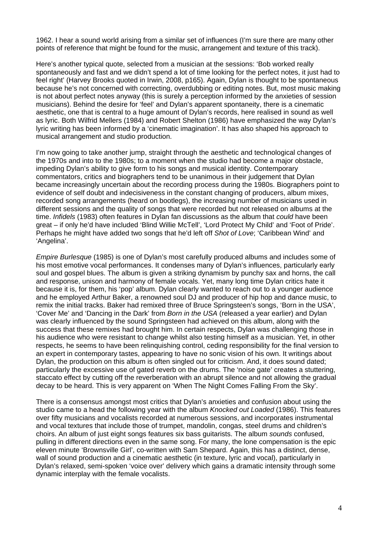1962. I hear a sound world arising from a similar set of influences (I'm sure there are many other points of reference that might be found for the music, arrangement and texture of this track).

Here's another typical quote, selected from a musician at the sessions: 'Bob worked really spontaneously and fast and we didn't spend a lot of time looking for the perfect notes, it just had to feel right' (Harvey Brooks quoted in Irwin, 2008, p165). Again, Dylan is thought to be spontaneous because he's not concerned with correcting, overdubbing or editing notes. But, most music making is not about perfect notes anyway (this is surely a perception informed by the anxieties of session musicians). Behind the desire for 'feel' and Dylan's apparent spontaneity, there is a cinematic aesthetic, one that is central to a huge amount of Dylan's records, here realised in sound as well as lyric. Both Wilfrid Mellers (1984) and Robert Shelton (1986) have emphasized the way Dylan's lyric writing has been informed by a 'cinematic imagination'. It has also shaped his approach to musical arrangement and studio production.

I'm now going to take another jump, straight through the aesthetic and technological changes of the 1970s and into to the 1980s; to a moment when the studio had become a major obstacle, impeding Dylan's ability to give form to his songs and musical identity. Contemporary commentators, critics and biographers tend to be unanimous in their judgement that Dylan became increasingly uncertain about the recording process during the 1980s. Biographers point to evidence of self doubt and indecisiveness in the constant changing of producers, album mixes, recorded song arrangements (heard on bootlegs), the increasing number of musicians used in different sessions and the quality of songs that were recorded but not released on albums at the time. *Infidels* (1983) often features in Dylan fan discussions as the album that *could* have been great – if only he'd have included 'Blind Willie McTell', 'Lord Protect My Child' and 'Foot of Pride'. Perhaps he might have added two songs that he'd left off *Shot of Love*; 'Caribbean Wind' and 'Angelina'.

*Empire Burlesque* (1985) is one of Dylan's most carefully produced albums and includes some of his most emotive vocal performances. It condenses many of Dylan's influences, particularly early soul and gospel blues. The album is given a striking dynamism by punchy sax and horns, the call and response, unison and harmony of female vocals. Yet, many long time Dylan critics hate it because it is, for them, his 'pop' album. Dylan clearly wanted to reach out to a younger audience and he employed Arthur Baker, a renowned soul DJ and producer of hip hop and dance music, to remix the initial tracks. Baker had remixed three of Bruce Springsteen's songs, 'Born in the USA', 'Cover Me' and 'Dancing in the Dark' from *Born in the USA* (released a year earlier) and Dylan was clearly influenced by the sound Springsteen had achieved on this album, along with the success that these remixes had brought him. In certain respects, Dylan was challenging those in his audience who were resistant to change whilst also testing himself as a musician. Yet, in other respects, he seems to have been relinquishing control, ceding responsibility for the final version to an expert in contemporary tastes, appearing to have no sonic vision of his own. It writings about Dylan, the production on this album is often singled out for criticism. And, it does sound dated; particularly the excessive use of gated reverb on the drums. The 'noise gate' creates a stuttering, staccato effect by cutting off the reverberation with an abrupt silence and not allowing the gradual decay to be heard. This is very apparent on 'When The Night Comes Falling From the Sky'.

There is a consensus amongst most critics that Dylan's anxieties and confusion about using the studio came to a head the following year with the album *Knocked out Loaded* (1986). This features over fifty musicians and vocalists recorded at numerous sessions, and incorporates instrumental and vocal textures that include those of trumpet, mandolin, congas, steel drums and children's choirs. An album of just eight songs features six bass guitarists. The album *sounds* confused, pulling in different directions even in the same song. For many, the lone compensation is the epic eleven minute 'Brownsville Girl', co-written with Sam Shepard. Again, this has a distinct, dense, wall of sound production and a cinematic aesthetic (in texture, lyric and vocal), particularly in Dylan's relaxed, semi-spoken 'voice over' delivery which gains a dramatic intensity through some dynamic interplay with the female vocalists.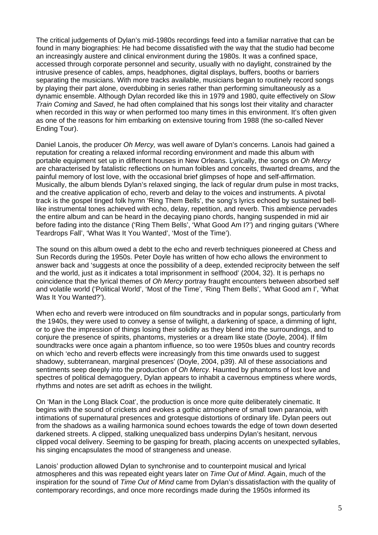The critical judgements of Dylan's mid-1980s recordings feed into a familiar narrative that can be found in many biographies: He had become dissatisfied with the way that the studio had become an increasingly austere and clinical environment during the 1980s. It was a confined space, accessed through corporate personnel and security, usually with no daylight, constrained by the intrusive presence of cables, amps, headphones, digital displays, buffers, booths or barriers separating the musicians. With more tracks available, musicians began to routinely record songs by playing their part alone, overdubbing in series rather than performing simultaneously as a dynamic ensemble. Although Dylan recorded like this in 1979 and 1980, quite effectively on *Slow Train Coming* and *Saved*, he had often complained that his songs lost their vitality and character when recorded in this way or when performed too many times in this environment. It's often given as one of the reasons for him embarking on extensive touring from 1988 (the so-called Never Ending Tour).

Daniel Lanois, the producer *Oh Mercy,* was well aware of Dylan's concerns. Lanois had gained a reputation for creating a relaxed informal recording environment and made this album with portable equipment set up in different houses in New Orleans. Lyrically, the songs on *Oh Mercy* are characterised by fatalistic reflections on human foibles and conceits, thwarted dreams, and the painful memory of lost love, with the occasional brief glimpses of hope and self-affirmation. Musically, the album blends Dylan's relaxed singing, the lack of regular drum pulse in most tracks, and the creative application of echo, reverb and delay to the voices and instruments. A pivotal track is the gospel tinged folk hymn 'Ring Them Bells', the song's lyrics echoed by sustained belllike instrumental tones achieved with echo, delay, repetition, and reverb. This ambience pervades the entire album and can be heard in the decaying piano chords, hanging suspended in mid air before fading into the distance ('Ring Them Bells', 'What Good Am I?') and ringing guitars ('Where Teardrops Fall', 'What Was It You Wanted', 'Most of the Time').

The sound on this album owed a debt to the echo and reverb techniques pioneered at Chess and Sun Records during the 1950s. Peter Doyle has written of how echo allows the environment to answer back and 'suggests at once the possibility of a deep, extended reciprocity between the self and the world, just as it indicates a total imprisonment in selfhood' (2004, 32). It is perhaps no coincidence that the lyrical themes of *Oh Mercy* portray fraught encounters between absorbed self and volatile world ('Political World', 'Most of the Time', 'Ring Them Bells', 'What Good am I', 'What Was It You Wanted?').

When echo and reverb were introduced on film soundtracks and in popular songs, particularly from the 1940s, they were used to convey a sense of twilight, a darkening of space, a dimming of light, or to give the impression of things losing their solidity as they blend into the surroundings, and to conjure the presence of spirits, phantoms, mysteries or a dream like state (Doyle, 2004). If film soundtracks were once again a phantom influence, so too were 1950s blues and country records on which 'echo and reverb effects were increasingly from this time onwards used to suggest shadowy, subterranean, marginal presences' (Doyle, 2004, p39). All of these associations and sentiments seep deeply into the production of *Oh Mercy.* Haunted by phantoms of lost love and spectres of political demagoguery, Dylan appears to inhabit a cavernous emptiness where words, rhythms and notes are set adrift as echoes in the twilight.

On 'Man in the Long Black Coat', the production is once more quite deliberately cinematic. It begins with the sound of crickets and evokes a gothic atmosphere of small town paranoia, with intimations of supernatural presences and grotesque distortions of ordinary life. Dylan peers out from the shadows as a wailing harmonica sound echoes towards the edge of town down deserted darkened streets. A clipped, stalking unequalized bass underpins Dylan's hesitant, nervous clipped vocal delivery. Seeming to be gasping for breath, placing accents on unexpected syllables, his singing encapsulates the mood of strangeness and unease.

Lanois' production allowed Dylan to synchronise and to counterpoint musical and lyrical atmospheres and this was repeated eight years later on *Time Out of Mind*. Again, much of the inspiration for the sound of *Time Out of Mind* came from Dylan's dissatisfaction with the quality of contemporary recordings, and once more recordings made during the 1950s informed its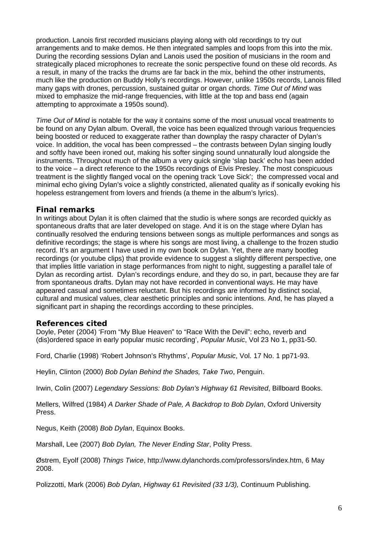production. Lanois first recorded musicians playing along with old recordings to try out arrangements and to make demos. He then integrated samples and loops from this into the mix. During the recording sessions Dylan and Lanois used the position of musicians in the room and strategically placed microphones to recreate the sonic perspective found on these old records. As a result, in many of the tracks the drums are far back in the mix, behind the other instruments, much like the production on Buddy Holly's recordings. However, unlike 1950s records, Lanois filled many gaps with drones, percussion, sustained guitar or organ chords. *Time Out of Mind* was mixed to emphasize the mid-range frequencies, with little at the top and bass end (again attempting to approximate a 1950s sound).

*Time Out of Mind* is notable for the way it contains some of the most unusual vocal treatments to be found on any Dylan album. Overall, the voice has been equalized through various frequencies being boosted or reduced to exaggerate rather than downplay the raspy character of Dylan's voice. In addition, the vocal has been compressed – the contrasts between Dylan singing loudly and softly have been ironed out, making his softer singing sound unnaturally loud alongside the instruments. Throughout much of the album a very quick single 'slap back' echo has been added to the voice – a direct reference to the 1950s recordings of Elvis Presley. The most conspicuous treatment is the slightly flanged vocal on the opening track 'Love Sick'; the compressed vocal and minimal echo giving Dylan's voice a slightly constricted, alienated quality as if sonically evoking his hopeless estrangement from lovers and friends (a theme in the album's lyrics).

## **Final remarks**

In writings about Dylan it is often claimed that the studio is where songs are recorded quickly as spontaneous drafts that are later developed on stage. And it is on the stage where Dylan has continually resolved the enduring tensions between songs as multiple performances and songs as definitive recordings; the stage is where his songs are most living, a challenge to the frozen studio record. It's an argument I have used in my own book on Dylan. Yet, there are many bootleg recordings (or youtube clips) that provide evidence to suggest a slightly different perspective, one that implies little variation in stage performances from night to night, suggesting a parallel tale of Dylan as recording artist. Dylan's recordings endure, and they do so, in part, because they are far from spontaneous drafts. Dylan may not have recorded in conventional ways. He may have appeared casual and sometimes reluctant. But his recordings are informed by distinct social, cultural and musical values, clear aesthetic principles and sonic intentions. And, he has played a significant part in shaping the recordings according to these principles.

## **References cited**

Doyle, Peter (2004) 'From "My Blue Heaven" to "Race With the Devil": echo, reverb and (dis)ordered space in early popular music recording', *Popular Music*, Vol 23 No 1, pp31-50.

Ford, Charlie (1998) 'Robert Johnson's Rhythms', *Popular Music*, Vol. 17 No. 1 pp71-93.

Heylin, Clinton (2000) *Bob Dylan Behind the Shades, Take Two*, Penguin.

Irwin, Colin (2007) *Legendary Sessions: Bob Dylan's Highway 61 Revisited*, Billboard Books.

Mellers, Wilfred (1984) *A Darker Shade of Pale, A Backdrop to Bob Dylan*, Oxford University Press.

Negus, Keith (2008) *Bob Dylan*, Equinox Books.

Marshall, Lee (2007) *Bob Dylan, The Never Ending Star*, Polity Press.

Østrem, Eyolf (2008) *Things Twice*, http://www.dylanchords.com/professors/index.htm, 6 May 2008.

Polizzotti, Mark (2006) *Bob Dylan, Highway 61 Revisited (33 1/3),* Continuum Publishing.